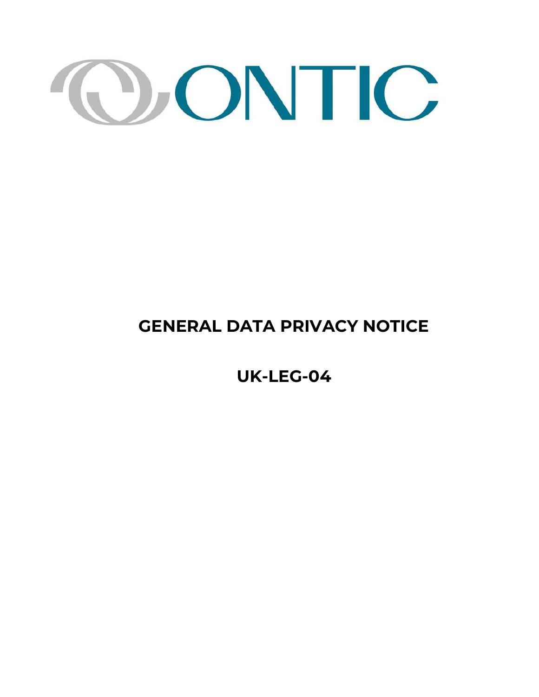

# GENERAL DATA PRIVACY NOTICE

UK-LEG-04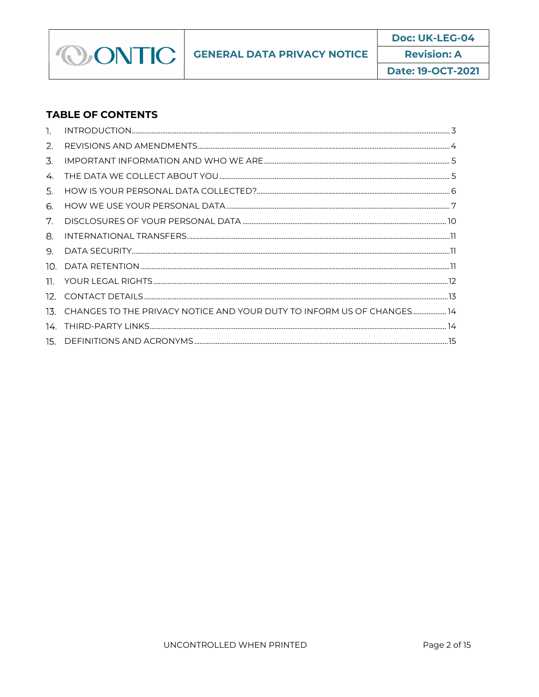|               |                                    | Doc: UK-LEG-04           |
|---------------|------------------------------------|--------------------------|
| <b>CONTIC</b> | <b>GENERAL DATA PRIVACY NOTICE</b> | <b>Revision: A</b>       |
|               |                                    | <b>Date: 19-OCT-2021</b> |

# **TABLE OF CONTENTS**

| CHANGES TO THE PRIVACY NOTICE AND YOUR DUTY TO INFORM US OF CHANGES 14 |  |
|------------------------------------------------------------------------|--|
|                                                                        |  |
|                                                                        |  |
|                                                                        |  |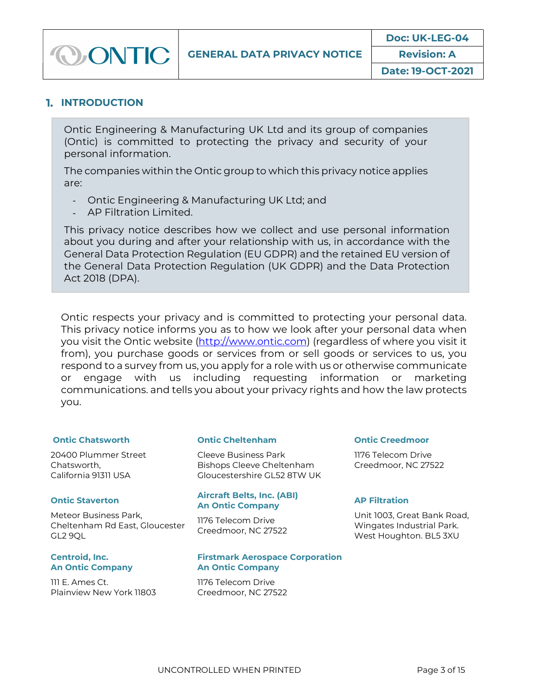| ONTIC | <b>GENERAL DATA PRIVACY NOTICE</b> |  |
|-------|------------------------------------|--|

#### 1. INTRODUCTION

Ontic Engineering & Manufacturing UK Ltd and its group of companies (Ontic) is committed to protecting the privacy and security of your personal information.

The companies within the Ontic group to which this privacy notice applies are:

- Ontic Engineering & Manufacturing UK Ltd; and
- AP Filtration Limited.

This privacy notice describes how we collect and use personal information about you during and after your relationship with us, in accordance with the General Data Protection Regulation (EU GDPR) and the retained EU version of the General Data Protection Regulation (UK GDPR) and the Data Protection Act 2018 (DPA).

Ontic respects your privacy and is committed to protecting your personal data. This privacy notice informs you as to how we look after your personal data when you visit the Ontic website (http://www.ontic.com) (regardless of where you visit it from), you purchase goods or services from or sell goods or services to us, you respond to a survey from us, you apply for a role with us or otherwise communicate or engage with us including requesting information or marketing communications. and tells you about your privacy rights and how the law protects you.

#### Ontic Chatsworth

20400 Plummer Street Chatsworth, California 91311 USA

#### Ontic Staverton

Meteor Business Park, Cheltenham Rd East, Gloucester GL2 9QL

#### Centroid, Inc. An Ontic Company

111 E. Ames Ct. Plainview New York 11803

#### Ontic Cheltenham

Cleeve Business Park Bishops Cleeve Cheltenham Gloucestershire GL52 8TW UK

#### Aircraft Belts, Inc. (ABI) An Ontic Company

1176 Telecom Drive Creedmoor, NC 27522

#### Firstmark Aerospace Corporation An Ontic Company

1176 Telecom Drive Creedmoor, NC 27522

#### Ontic Creedmoor

1176 Telecom Drive Creedmoor, NC 27522

#### AP Filtration

Unit 1003, Great Bank Road, Wingates Industrial Park. West Houghton. BL5 3XU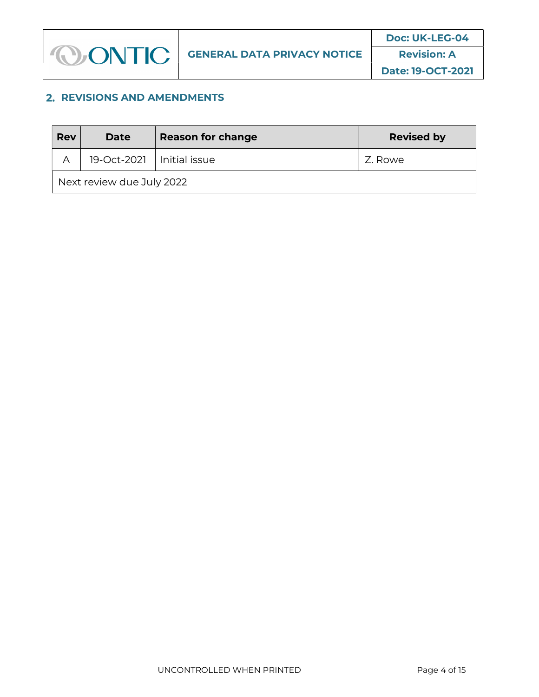

## 2. REVISIONS AND AMENDMENTS

| <b>Rev</b> | Date                      | <b>Reason for change</b> | <b>Revised by</b> |  |
|------------|---------------------------|--------------------------|-------------------|--|
| А          | 19-Oct-2021               | I Initial issue          | Z. Rowe           |  |
|            | Next review due July 2022 |                          |                   |  |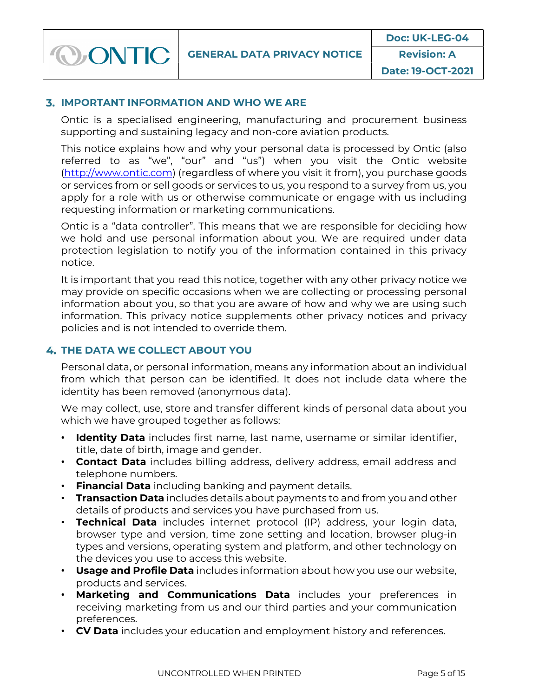|                                           | Doc: UK-LEG-04     |
|-------------------------------------------|--------------------|
| <b>OONTIC</b> GENERAL DATA PRIVACY NOTICE | <b>Revision: A</b> |

#### **3. IMPORTANT INFORMATION AND WHO WE ARE**

Ontic is a specialised engineering, manufacturing and procurement business supporting and sustaining legacy and non-core aviation products.

This notice explains how and why your personal data is processed by Ontic (also referred to as "we", "our" and "us") when you visit the Ontic website (http://www.ontic.com) (regardless of where you visit it from), you purchase goods or services from or sell goods or services to us, you respond to a survey from us, you apply for a role with us or otherwise communicate or engage with us including requesting information or marketing communications.

Ontic is a "data controller". This means that we are responsible for deciding how we hold and use personal information about you. We are required under data protection legislation to notify you of the information contained in this privacy notice.

It is important that you read this notice, together with any other privacy notice we may provide on specific occasions when we are collecting or processing personal information about you, so that you are aware of how and why we are using such information. This privacy notice supplements other privacy notices and privacy policies and is not intended to override them.

# THE DATA WE COLLECT ABOUT YOU

Personal data, or personal information, means any information about an individual from which that person can be identified. It does not include data where the identity has been removed (anonymous data).

We may collect, use, store and transfer different kinds of personal data about you which we have grouped together as follows:

- Identity Data includes first name, last name, username or similar identifier, title, date of birth, image and gender.
- Contact Data includes billing address, delivery address, email address and telephone numbers.
- Financial Data including banking and payment details.
- Transaction Data includes details about payments to and from you and other details of products and services you have purchased from us.
- Technical Data includes internet protocol (IP) address, your login data, browser type and version, time zone setting and location, browser plug-in types and versions, operating system and platform, and other technology on the devices you use to access this website.
- Usage and Profile Data includes information about how you use our website, products and services.
- Marketing and Communications Data includes your preferences in receiving marketing from us and our third parties and your communication preferences.
- CV Data includes your education and employment history and references.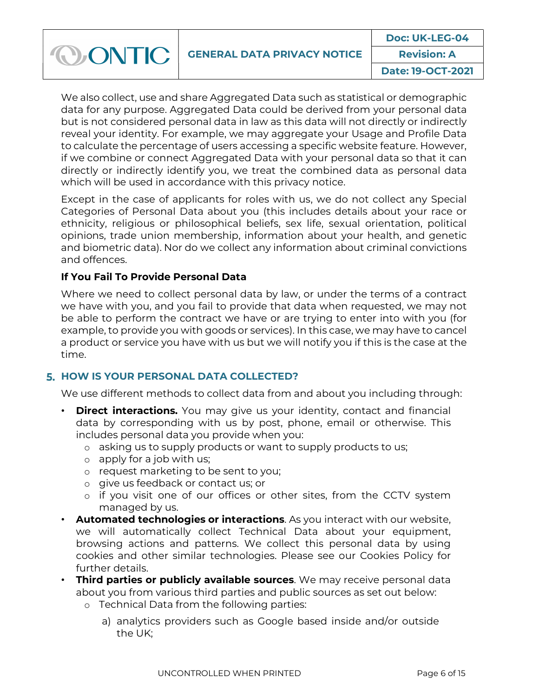|               |                                    | Doc: UK-LEG-04           |  |
|---------------|------------------------------------|--------------------------|--|
| <b>OONTIC</b> | <b>GENERAL DATA PRIVACY NOTICE</b> | <b>Revision: A</b>       |  |
|               |                                    | <b>Date: 19-OCT-2021</b> |  |

We also collect, use and share Aggregated Data such as statistical or demographic data for any purpose. Aggregated Data could be derived from your personal data but is not considered personal data in law as this data will not directly or indirectly reveal your identity. For example, we may aggregate your Usage and Profile Data to calculate the percentage of users accessing a specific website feature. However, if we combine or connect Aggregated Data with your personal data so that it can directly or indirectly identify you, we treat the combined data as personal data which will be used in accordance with this privacy notice.

Except in the case of applicants for roles with us, we do not collect any Special Categories of Personal Data about you (this includes details about your race or ethnicity, religious or philosophical beliefs, sex life, sexual orientation, political opinions, trade union membership, information about your health, and genetic and biometric data). Nor do we collect any information about criminal convictions and offences.

#### If You Fail To Provide Personal Data

Where we need to collect personal data by law, or under the terms of a contract we have with you, and you fail to provide that data when requested, we may not be able to perform the contract we have or are trying to enter into with you (for example, to provide you with goods or services). In this case, we may have to cancel a product or service you have with us but we will notify you if this is the case at the time.

## **5. HOW IS YOUR PERSONAL DATA COLLECTED?**

We use different methods to collect data from and about you including through:

- Direct interactions. You may give us your identity, contact and financial data by corresponding with us by post, phone, email or otherwise. This includes personal data you provide when you:
	- o asking us to supply products or want to supply products to us;
	- o apply for a job with us;
	- o request marketing to be sent to you;
	- o give us feedback or contact us; or
	- o if you visit one of our offices or other sites, from the CCTV system managed by us.
- **Automated technologies or interactions**. As you interact with our website, we will automatically collect Technical Data about your equipment, browsing actions and patterns. We collect this personal data by using cookies and other similar technologies. Please see our Cookies Policy for further details.
- Third parties or publicly available sources. We may receive personal data about you from various third parties and public sources as set out below:
	- o Technical Data from the following parties:
		- a) analytics providers such as Google based inside and/or outside the UK;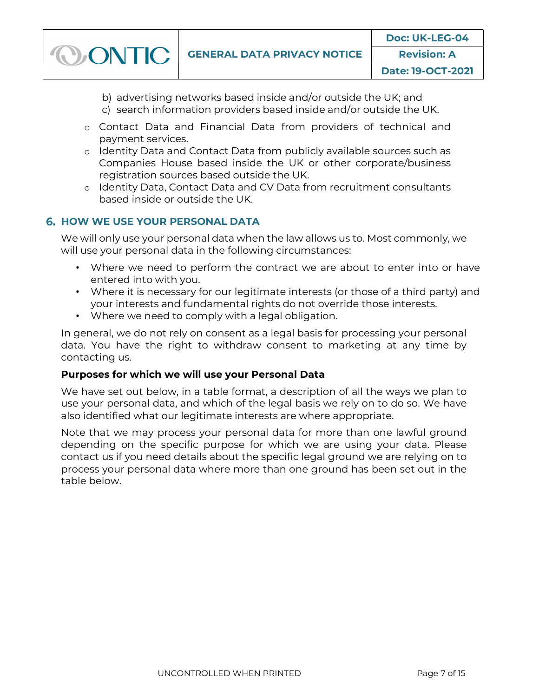

- b) advertising networks based inside and/or outside the UK; and
- c) search information providers based inside and/or outside the UK.
- o Contact Data and Financial Data from providers of technical and payment services.
- o Identity Data and Contact Data from publicly available sources such as Companies House based inside the UK or other corporate/business registration sources based outside the UK.
- o Identity Data, Contact Data and CV Data from recruitment consultants based inside or outside the UK.

## **6. HOW WE USE YOUR PERSONAL DATA**

**OONTIC** 

We will only use your personal data when the law allows us to. Most commonly, we will use your personal data in the following circumstances:

- Where we need to perform the contract we are about to enter into or have entered into with you.
- Where it is necessary for our legitimate interests (or those of a third party) and your interests and fundamental rights do not override those interests.
- Where we need to comply with a legal obligation.

In general, we do not rely on consent as a legal basis for processing your personal data. You have the right to withdraw consent to marketing at any time by contacting us.

#### Purposes for which we will use your Personal Data

We have set out below, in a table format, a description of all the ways we plan to use your personal data, and which of the legal basis we rely on to do so. We have also identified what our legitimate interests are where appropriate.

Note that we may process your personal data for more than one lawful ground depending on the specific purpose for which we are using your data. Please contact us if you need details about the specific legal ground we are relying on to process your personal data where more than one ground has been set out in the table below.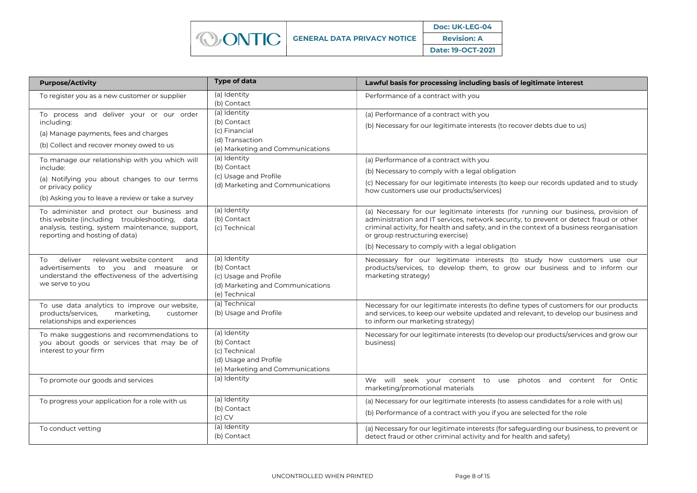GENERAL DATA PRIVACY NOTICE

OONTIC

|  | REVISION, A |  |
|--|-------------|--|
|  |             |  |

| <b>Purpose/Activity</b>                                                                                                                                                              | <b>Type of data</b>                                                                                       | Lawful basis for processing including basis of legitimate interest                                                                                                                                                                                                                                                                                              |
|--------------------------------------------------------------------------------------------------------------------------------------------------------------------------------------|-----------------------------------------------------------------------------------------------------------|-----------------------------------------------------------------------------------------------------------------------------------------------------------------------------------------------------------------------------------------------------------------------------------------------------------------------------------------------------------------|
| To register you as a new customer or supplier                                                                                                                                        | (a) Identity<br>(b) Contact                                                                               | Performance of a contract with you                                                                                                                                                                                                                                                                                                                              |
| To process and deliver your or our order<br>including:<br>(a) Manage payments, fees and charges<br>(b) Collect and recover money owed to us                                          | (a) Identity<br>(b) Contact<br>(c) Financial<br>(d) Transaction<br>(e) Marketing and Communications       | (a) Performance of a contract with you<br>(b) Necessary for our legitimate interests (to recover debts due to us)                                                                                                                                                                                                                                               |
| To manage our relationship with you which will<br>include:<br>(a) Notifying you about changes to our terms<br>or privacy policy<br>(b) Asking you to leave a review or take a survey | (a) Identity<br>(b) Contact<br>(c) Usage and Profile<br>(d) Marketing and Communications                  | (a) Performance of a contract with you<br>(b) Necessary to comply with a legal obligation<br>(c) Necessary for our legitimate interests (to keep our records updated and to study<br>how customers use our products/services)                                                                                                                                   |
| To administer and protect our business and<br>this website (including troubleshooting, data<br>analysis, testing, system maintenance, support,<br>reporting and hosting of data)     | (a) Identity<br>(b) Contact<br>(c) Technical                                                              | (a) Necessary for our legitimate interests (for running our business, provision of<br>administration and IT services, network security, to prevent or detect fraud or other<br>criminal activity, for health and safety, and in the context of a business reorganisation<br>or group restructuring exercise)<br>(b) Necessary to comply with a legal obligation |
| deliver<br>relevant website content<br>and<br>To:<br>advertisements to you and measure or<br>understand the effectiveness of the advertising<br>we serve to you                      | (a) Identity<br>(b) Contact<br>(c) Usage and Profile<br>(d) Marketing and Communications<br>(e) Technical | Necessary for our legitimate interests (to study how customers use our<br>products/services, to develop them, to grow our business and to inform our<br>marketing strategy)                                                                                                                                                                                     |
| To use data analytics to improve our website,<br>products/services,<br>marketing,<br>customer<br>relationships and experiences                                                       | (a) Technical<br>(b) Usage and Profile                                                                    | Necessary for our legitimate interests (to define types of customers for our products<br>and services, to keep our website updated and relevant, to develop our business and<br>to inform our marketing strategy)                                                                                                                                               |
| To make suggestions and recommendations to<br>you about goods or services that may be of<br>interest to your firm                                                                    | (a) Identity<br>(b) Contact<br>(c) Technical<br>(d) Usage and Profile<br>(e) Marketing and Communications | Necessary for our legitimate interests (to develop our products/services and grow our<br>business)                                                                                                                                                                                                                                                              |
| To promote our goods and services                                                                                                                                                    | (a) Identity                                                                                              | We will seek your consent to use photos and content for Ontic<br>marketing/promotional materials                                                                                                                                                                                                                                                                |
| To progress your application for a role with us                                                                                                                                      | (a) Identity<br>(b) Contact<br>$(c)$ CV                                                                   | (a) Necessary for our legitimate interests (to assess candidates for a role with us)<br>(b) Performance of a contract with you if you are selected for the role                                                                                                                                                                                                 |
| To conduct vetting                                                                                                                                                                   | (a) Identity<br>(b) Contact                                                                               | (a) Necessary for our legitimate interests (for safeguarding our business, to prevent or<br>detect fraud or other criminal activity and for health and safety)                                                                                                                                                                                                  |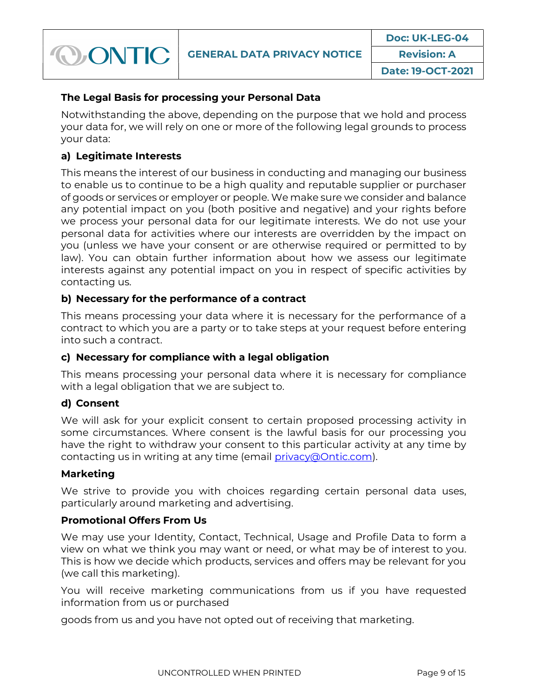## The Legal Basis for processing your Personal Data

Notwithstanding the above, depending on the purpose that we hold and process your data for, we will rely on one or more of the following legal grounds to process your data:

## a) Legitimate Interests

**OONTIC** 

This means the interest of our business in conducting and managing our business to enable us to continue to be a high quality and reputable supplier or purchaser of goods or services or employer or people. We make sure we consider and balance any potential impact on you (both positive and negative) and your rights before we process your personal data for our legitimate interests. We do not use your personal data for activities where our interests are overridden by the impact on you (unless we have your consent or are otherwise required or permitted to by law). You can obtain further information about how we assess our legitimate interests against any potential impact on you in respect of specific activities by contacting us.

## b) Necessary for the performance of a contract

This means processing your data where it is necessary for the performance of a contract to which you are a party or to take steps at your request before entering into such a contract.

## c) Necessary for compliance with a legal obligation

This means processing your personal data where it is necessary for compliance with a legal obligation that we are subject to.

## d) Consent

We will ask for your explicit consent to certain proposed processing activity in some circumstances. Where consent is the lawful basis for our processing you have the right to withdraw your consent to this particular activity at any time by contacting us in writing at any time (email privacy@Ontic.com).

## **Marketing**

We strive to provide you with choices regarding certain personal data uses, particularly around marketing and advertising.

## Promotional Offers From Us

We may use your Identity, Contact, Technical, Usage and Profile Data to form a view on what we think you may want or need, or what may be of interest to you. This is how we decide which products, services and offers may be relevant for you (we call this marketing).

You will receive marketing communications from us if you have requested information from us or purchased

goods from us and you have not opted out of receiving that marketing.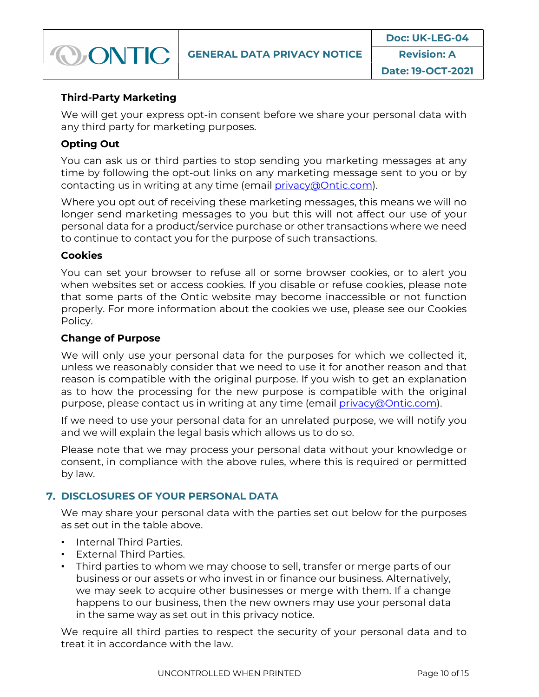

## Third-Party Marketing

We will get your express opt-in consent before we share your personal data with any third party for marketing purposes.

## Opting Out

You can ask us or third parties to stop sending you marketing messages at any time by following the opt-out links on any marketing message sent to you or by contacting us in writing at any time (email privacy@Ontic.com).

Where you opt out of receiving these marketing messages, this means we will no longer send marketing messages to you but this will not affect our use of your personal data for a product/service purchase or other transactions where we need to continue to contact you for the purpose of such transactions.

#### Cookies

You can set your browser to refuse all or some browser cookies, or to alert you when websites set or access cookies. If you disable or refuse cookies, please note that some parts of the Ontic website may become inaccessible or not function properly. For more information about the cookies we use, please see our Cookies Policy.

#### Change of Purpose

We will only use your personal data for the purposes for which we collected it, unless we reasonably consider that we need to use it for another reason and that reason is compatible with the original purpose. If you wish to get an explanation as to how the processing for the new purpose is compatible with the original purpose, please contact us in writing at any time (email privacy@Ontic.com).

If we need to use your personal data for an unrelated purpose, we will notify you and we will explain the legal basis which allows us to do so.

Please note that we may process your personal data without your knowledge or consent, in compliance with the above rules, where this is required or permitted by law.

# 7. DISCLOSURES OF YOUR PERSONAL DATA

We may share your personal data with the parties set out below for the purposes as set out in the table above.

- Internal Third Parties.
- External Third Parties.
- Third parties to whom we may choose to sell, transfer or merge parts of our business or our assets or who invest in or finance our business. Alternatively, we may seek to acquire other businesses or merge with them. If a change happens to our business, then the new owners may use your personal data in the same way as set out in this privacy notice.

We require all third parties to respect the security of your personal data and to treat it in accordance with the law.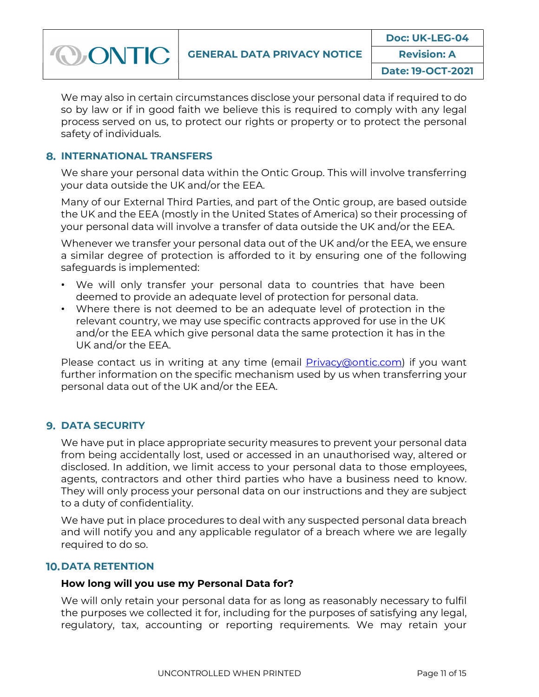|               |                                    | Doc: UK-LEG-04           |  |
|---------------|------------------------------------|--------------------------|--|
| <b>OONTIC</b> | <b>GENERAL DATA PRIVACY NOTICE</b> | <b>Revision: A</b>       |  |
|               |                                    | <b>Date: 19-OCT-2021</b> |  |

We may also in certain circumstances disclose your personal data if required to do so by law or if in good faith we believe this is required to comply with any legal process served on us, to protect our rights or property or to protect the personal safety of individuals.

#### **8. INTERNATIONAL TRANSFERS**

We share your personal data within the Ontic Group. This will involve transferring your data outside the UK and/or the EEA.

Many of our External Third Parties, and part of the Ontic group, are based outside the UK and the EEA (mostly in the United States of America) so their processing of your personal data will involve a transfer of data outside the UK and/or the EEA.

Whenever we transfer your personal data out of the UK and/or the EEA, we ensure a similar degree of protection is afforded to it by ensuring one of the following safeguards is implemented:

- We will only transfer your personal data to countries that have been deemed to provide an adequate level of protection for personal data.
- Where there is not deemed to be an adequate level of protection in the relevant country, we may use specific contracts approved for use in the UK and/or the EEA which give personal data the same protection it has in the UK and/or the EEA.

Please contact us in writing at any time (email *Privacy@ontic.com*) if you want further information on the specific mechanism used by us when transferring your personal data out of the UK and/or the EEA.

## **9. DATA SECURITY**

We have put in place appropriate security measures to prevent your personal data from being accidentally lost, used or accessed in an unauthorised way, altered or disclosed. In addition, we limit access to your personal data to those employees, agents, contractors and other third parties who have a business need to know. They will only process your personal data on our instructions and they are subject to a duty of confidentiality.

We have put in place procedures to deal with any suspected personal data breach and will notify you and any applicable regulator of a breach where we are legally required to do so.

## **10. DATA RETENTION**

#### How long will you use my Personal Data for?

We will only retain your personal data for as long as reasonably necessary to fulfil the purposes we collected it for, including for the purposes of satisfying any legal, regulatory, tax, accounting or reporting requirements. We may retain your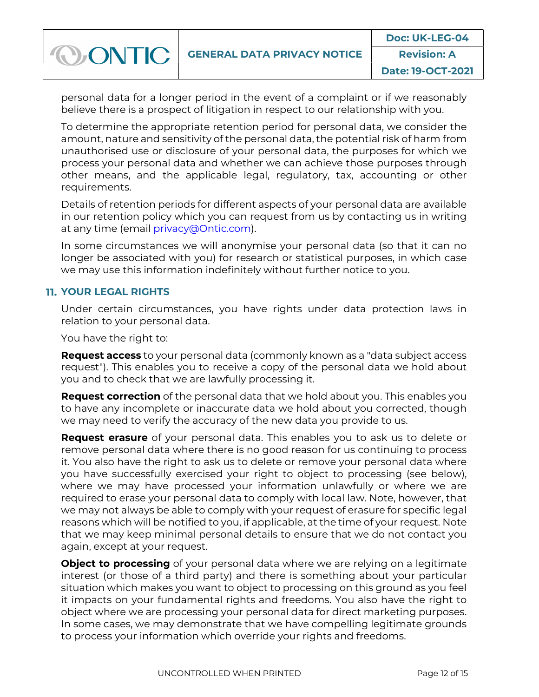|                                                      | Doc: UK-LEG-04           |  |
|------------------------------------------------------|--------------------------|--|
| $\bigcirc$ ONTIC $\big $ general data privacy notice | <b>Revision: A</b>       |  |
|                                                      | <b>Date: 19-OCT-2021</b> |  |

personal data for a longer period in the event of a complaint or if we reasonably believe there is a prospect of litigation in respect to our relationship with you.

To determine the appropriate retention period for personal data, we consider the amount, nature and sensitivity of the personal data, the potential risk of harm from unauthorised use or disclosure of your personal data, the purposes for which we process your personal data and whether we can achieve those purposes through other means, and the applicable legal, regulatory, tax, accounting or other requirements.

Details of retention periods for different aspects of your personal data are available in our retention policy which you can request from us by contacting us in writing at any time (email privacy@Ontic.com).

In some circumstances we will anonymise your personal data (so that it can no longer be associated with you) for research or statistical purposes, in which case we may use this information indefinitely without further notice to you.

## **11. YOUR LEGAL RIGHTS**

 $\sqrt{2}$ 

Under certain circumstances, you have rights under data protection laws in relation to your personal data.

You have the right to:

**Request access** to your personal data (commonly known as a "data subject access request"). This enables you to receive a copy of the personal data we hold about you and to check that we are lawfully processing it.

**Request correction** of the personal data that we hold about you. This enables you to have any incomplete or inaccurate data we hold about you corrected, though we may need to verify the accuracy of the new data you provide to us.

**Request erasure** of your personal data. This enables you to ask us to delete or remove personal data where there is no good reason for us continuing to process it. You also have the right to ask us to delete or remove your personal data where you have successfully exercised your right to object to processing (see below), where we may have processed your information unlawfully or where we are required to erase your personal data to comply with local law. Note, however, that we may not always be able to comply with your request of erasure for specific legal reasons which will be notified to you, if applicable, at the time of your request. Note that we may keep minimal personal details to ensure that we do not contact you again, except at your request.

**Object to processing** of your personal data where we are relying on a legitimate interest (or those of a third party) and there is something about your particular situation which makes you want to object to processing on this ground as you feel it impacts on your fundamental rights and freedoms. You also have the right to object where we are processing your personal data for direct marketing purposes. In some cases, we may demonstrate that we have compelling legitimate grounds to process your information which override your rights and freedoms.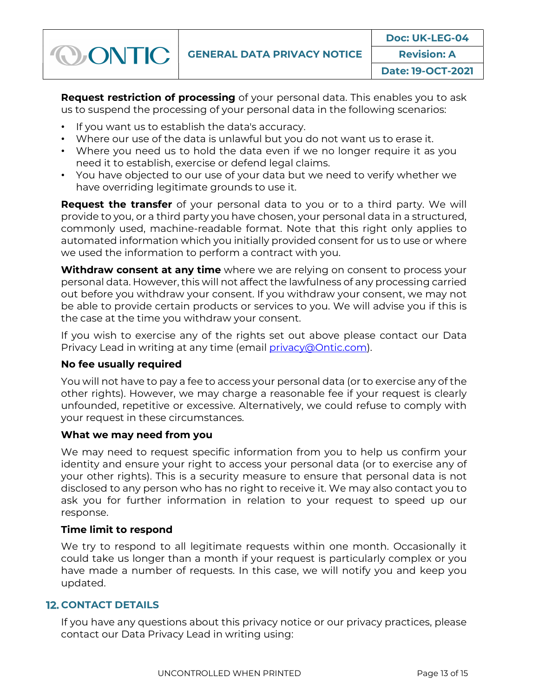|                                     | Doc: UK-LEG-04           |  |
|-------------------------------------|--------------------------|--|
| ONTIC   GENERAL DATA PRIVACY NOTICE | <b>Revision: A</b>       |  |
|                                     | <b>Date: 19-OCT-2021</b> |  |

**Request restriction of processing** of your personal data. This enables you to ask us to suspend the processing of your personal data in the following scenarios:

- If you want us to establish the data's accuracy.
- Where our use of the data is unlawful but you do not want us to erase it.
- Where you need us to hold the data even if we no longer require it as you need it to establish, exercise or defend legal claims.
- You have objected to our use of your data but we need to verify whether we have overriding legitimate grounds to use it.

**Request the transfer** of your personal data to you or to a third party. We will provide to you, or a third party you have chosen, your personal data in a structured, commonly used, machine-readable format. Note that this right only applies to automated information which you initially provided consent for us to use or where we used the information to perform a contract with you.

Withdraw consent at any time where we are relying on consent to process your personal data. However, this will not affect the lawfulness of any processing carried out before you withdraw your consent. If you withdraw your consent, we may not be able to provide certain products or services to you. We will advise you if this is the case at the time you withdraw your consent.

If you wish to exercise any of the rights set out above please contact our Data Privacy Lead in writing at any time (email *privacy* @ Ontic.com).

## No fee usually required

 $\sqrt{2}$ 

You will not have to pay a fee to access your personal data (or to exercise any of the other rights). However, we may charge a reasonable fee if your request is clearly unfounded, repetitive or excessive. Alternatively, we could refuse to comply with your request in these circumstances.

#### What we may need from you

We may need to request specific information from you to help us confirm your identity and ensure your right to access your personal data (or to exercise any of your other rights). This is a security measure to ensure that personal data is not disclosed to any person who has no right to receive it. We may also contact you to ask you for further information in relation to your request to speed up our response.

#### Time limit to respond

We try to respond to all legitimate requests within one month. Occasionally it could take us longer than a month if your request is particularly complex or you have made a number of requests. In this case, we will notify you and keep you updated.

## **12. CONTACT DETAILS**

If you have any questions about this privacy notice or our privacy practices, please contact our Data Privacy Lead in writing using: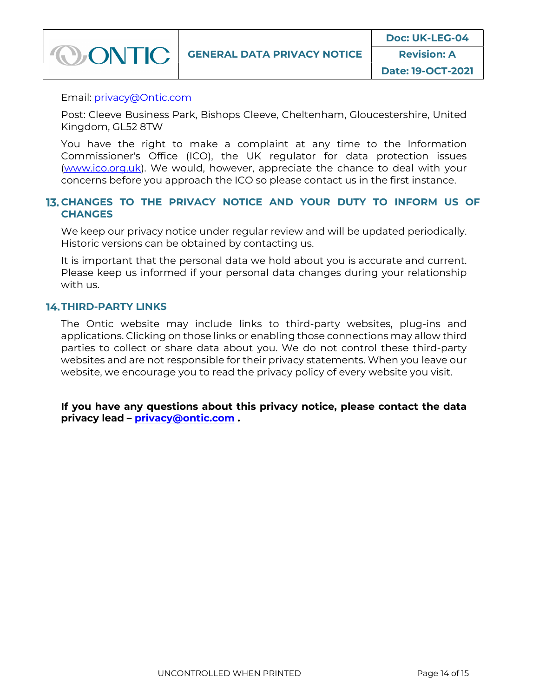|                                           | Doc: UK-LEG-04     |
|-------------------------------------------|--------------------|
| <b>OONTIC</b> GENERAL DATA PRIVACY NOTICE | <b>Revision: A</b> |
|                                           | Date: 19-0CT-2021  |

# Date: 19-OCT-2021

#### Email: privacy@Ontic.com

Post: Cleeve Business Park, Bishops Cleeve, Cheltenham, Gloucestershire, United Kingdom, GL52 8TW

You have the right to make a complaint at any time to the Information Commissioner's Office (ICO), the UK regulator for data protection issues (www.ico.org.uk). We would, however, appreciate the chance to deal with your concerns before you approach the ICO so please contact us in the first instance.

#### 13. CHANGES TO THE PRIVACY NOTICE AND YOUR DUTY TO INFORM US OF **CHANGES**

We keep our privacy notice under regular review and will be updated periodically. Historic versions can be obtained by contacting us.

It is important that the personal data we hold about you is accurate and current. Please keep us informed if your personal data changes during your relationship with us.

#### **14. THIRD-PARTY LINKS**

The Ontic website may include links to third-party websites, plug-ins and applications. Clicking on those links or enabling those connections may allow third parties to collect or share data about you. We do not control these third-party websites and are not responsible for their privacy statements. When you leave our website, we encourage you to read the privacy policy of every website you visit.

If you have any questions about this privacy notice, please contact the data privacy lead – privacy@ontic.com .